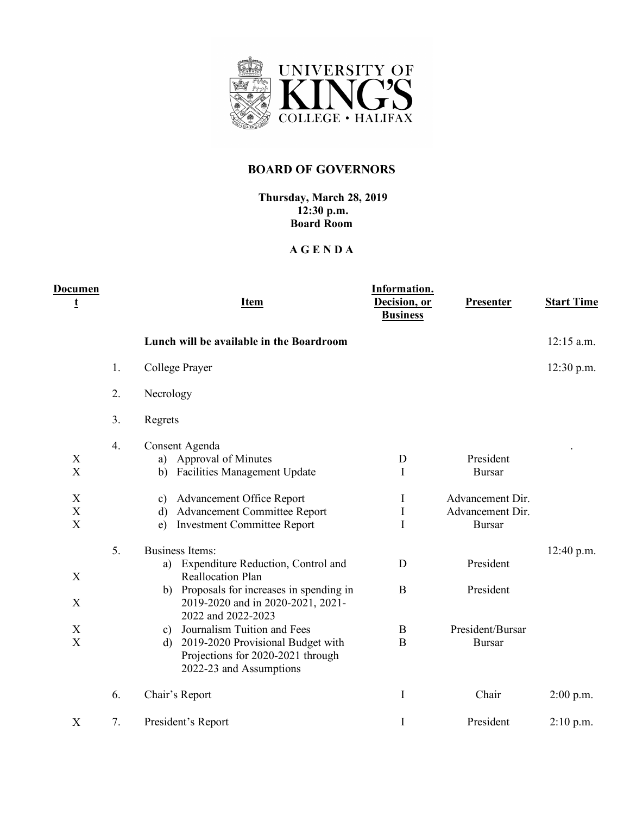

## **BOARD OF GOVERNORS**

## **Thursday, March 28, 2019 12:30 p.m. Board Room**

## **A G E N D A**

| <b>Documen</b><br>t                                         |    | <b>Item</b>                                                                                                                                                                                          | Information.<br>Decision, or<br><b>Business</b> | <b>Presenter</b>                                      | <b>Start Time</b> |
|-------------------------------------------------------------|----|------------------------------------------------------------------------------------------------------------------------------------------------------------------------------------------------------|-------------------------------------------------|-------------------------------------------------------|-------------------|
|                                                             |    | Lunch will be available in the Boardroom                                                                                                                                                             |                                                 |                                                       | $12:15$ a.m.      |
|                                                             | 1. | College Prayer                                                                                                                                                                                       |                                                 |                                                       | 12:30 p.m.        |
|                                                             | 2. | Necrology                                                                                                                                                                                            |                                                 |                                                       |                   |
|                                                             | 3. | Regrets                                                                                                                                                                                              |                                                 |                                                       |                   |
| X<br>X                                                      | 4. | Consent Agenda<br>Approval of Minutes<br>a)<br><b>Facilities Management Update</b><br>b)                                                                                                             | D<br>Ι                                          | President<br><b>Bursar</b>                            |                   |
| X<br>$\boldsymbol{\mathrm{X}}$<br>$\boldsymbol{\mathrm{X}}$ |    | Advancement Office Report<br>c)<br><b>Advancement Committee Report</b><br>d)<br><b>Investment Committee Report</b><br>e)                                                                             | I<br>$\rm I$<br>I                               | Advancement Dir.<br>Advancement Dir.<br><b>Bursar</b> |                   |
| X                                                           | 5. | <b>Business Items:</b><br>a) Expenditure Reduction, Control and<br><b>Reallocation Plan</b><br>b) Proposals for increases in spending in                                                             | D<br>$\bf{B}$                                   | President<br>President                                | 12:40 p.m.        |
| X<br>X<br>X                                                 |    | 2019-2020 and in 2020-2021, 2021-<br>2022 and 2022-2023<br>c) Journalism Tuition and Fees<br>2019-2020 Provisional Budget with<br>d)<br>Projections for 2020-2021 through<br>2022-23 and Assumptions | B<br>B                                          | President/Bursar<br><b>Bursar</b>                     |                   |
|                                                             | 6. | Chair's Report                                                                                                                                                                                       | I                                               | Chair                                                 | $2:00$ p.m.       |
| X                                                           | 7. | President's Report                                                                                                                                                                                   | $\mathbf I$                                     | President                                             | $2:10$ p.m.       |